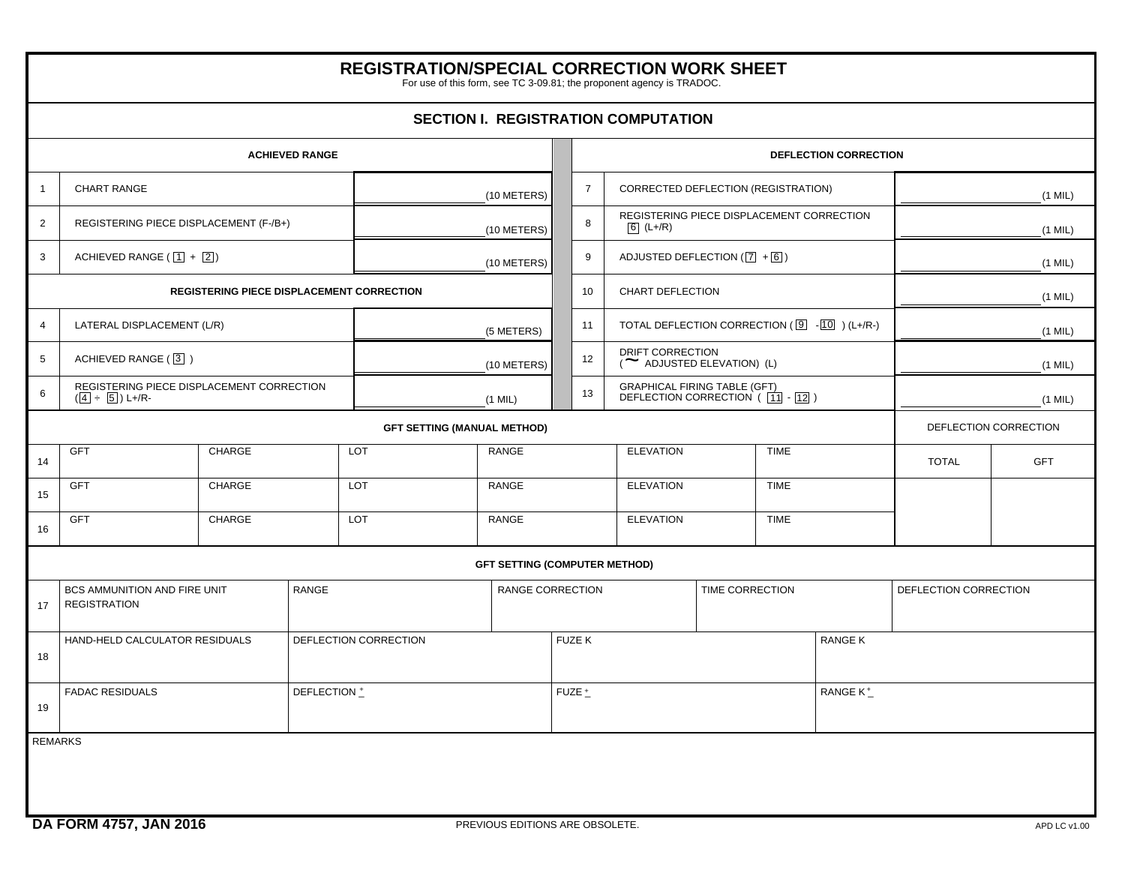## GFT | CHARGE | LOT | RANGE | ELEVATION | TIME GFT | CHARGE | LOT | RANGE | ELEVATION | TIME GFT | CHARGE | LOT | RANGE | ELEVATION | TIME REMARKS  $\begin{array}{ccc} + \pm \end{array}$   $\begin{array}{ccc} \text{FUZE} \pm \end{array}$ BCS AMMUNITION AND FIRE UNIT REGISTRATION RANGE RANGE CORRECTION TIME CORRECTION TIME CORRECTION DEFLECTION CORRECTION HAND-HELD CALCULATOR RESIDUALS  $\vert$  DEFLECTION CORRECTION  $\vert$  FUZE K  $\vert$  RANGE K FADAC RESIDUALS DEFLECTION  $\pm$ **REGISTRATION/SPECIAL CORRECTION WORK SHEET** For use of this form, see TC 3-09.81; the proponent agency is TRADOC. (1 MIL) (10 METERS) **SECTION I. REGISTRATION COMPUTATION ACHIEVED RANGE DEFLECTION CORRECTION** 1 2 3 CHART RANGE REGISTERING PIECE DISPLACEMENT (F-/B+) ACHIEVED RANGE ( $\boxed{1}$  +  $\boxed{2}$ ) (10 METERS) (10 METERS) **REGISTERING PIECE DISPLACEMENT CORRECTION** 4 5 6 LATERAL DISPLACEMENT (L/R) ACHIEVED RANGE (3) REGISTERING PIECE DISPLACEMENT CORRECTION (<u>|4</u>| ÷ <u>|5</u>|) L+/R-(5 METERS) (10 METERS) (1 MIL) 7 8 9 10 11 12 13 CORRECTED DEFLECTION (REGISTRATION) REGISTERING PIECE DISPLACEMENT CORRECTION (L+/R) 6 ADJUSTED DEFLECTION ([<u>7</u>] +[6] ) CHART DEFLECTION TOTAL DEFLECTION CORRECTION ( - ) (L+/R-) 9 10 DRIFT CORRECTION DRIFT CORRECTION<br>(  $\blacktriangleright$  ADJUSTED ELEVATION) (L) GRAPHICAL FIRING TABLE (GFT) DEFLECTION CORRECTION ( - ) 11 12 (1 MIL) (1 MIL) (1 MIL) (1 MIL) (1 MIL) (1 MIL) **GFT SETTING (MANUAL METHOD)** 14 15 16 **GFT SETTING (COMPUTER METHOD)** DEFLECTION CORRECTION TOTAL GFT 17 18 19